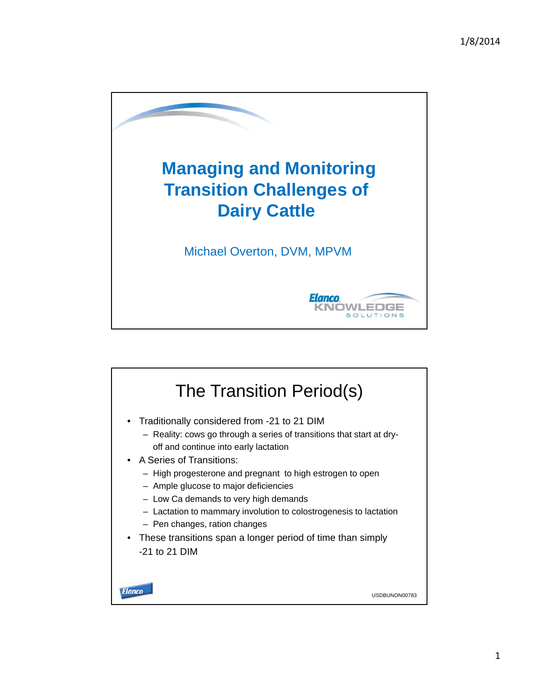

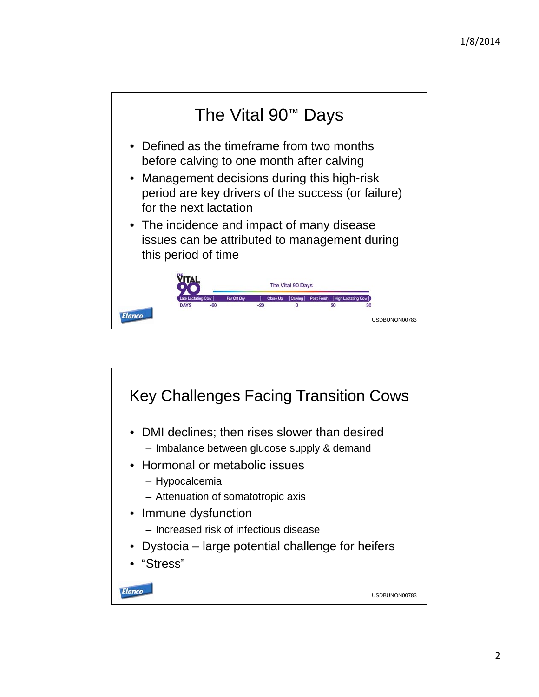

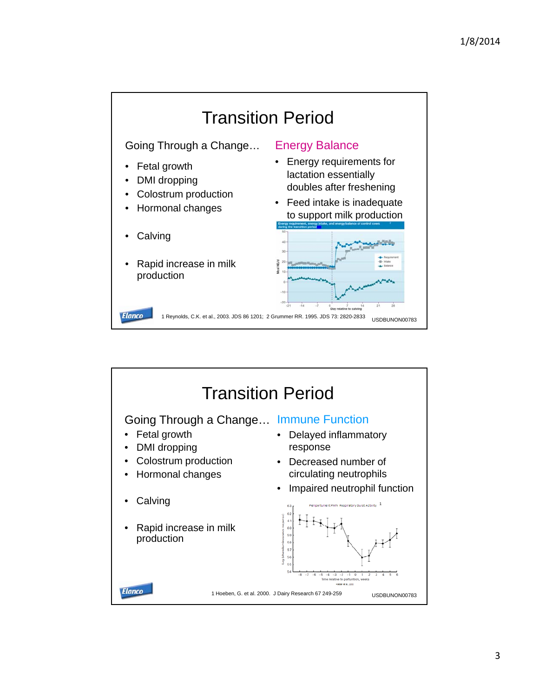

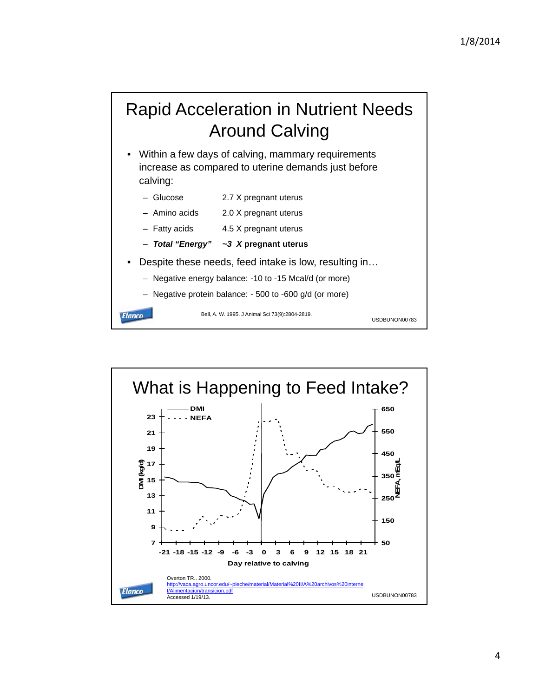## Rapid Acceleration in Nutrient Needs Around Calving

- Within a few days of calving, mammary requirements increase as compared to uterine demands just before calving:
	- Glucose 2.7 X pregnant uterus
	- Amino acids 2.0 X pregnant uterus
	- Fatty acids 4.5 X pregnant uterus
	- *Total "Energy" ~3 X* **pregnant uterus**
- Despite these needs, feed intake is low, resulting in…
	- Negative energy balance: -10 to -15 Mcal/d (or more)
	- Negative protein balance: 500 to -600 g/d (or more)

**Elanco** 

Bell, A. W. 1995. J Animal Sci 73(9):2804-2819.

USDBUNON00783

What is Happening to Feed Intake? **DMI 650 23 NEFA 550 21 19 450 DMI (kg/d) NEFA, mEq/L 17 350 15**  $\frac{1}{250}$ **13 11 150 9 7 50 -21 -18 -15 -12 -9 -6 -3 0 3 6 9 12 15 18 21 Day relative to calving** Overton TR.. 2000.<br>http://vaca.agro.unco http://vaca.agro.uncor.edu/~pleche/material/Material%20II/A%20archivos%20interne **Elanco** t/Alimentacion/transicion.pdf USDBUNON00783 Accessed 1/19/13.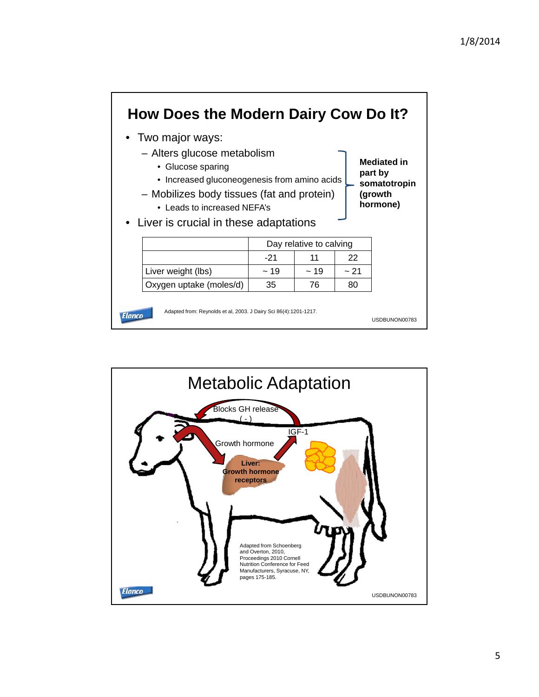

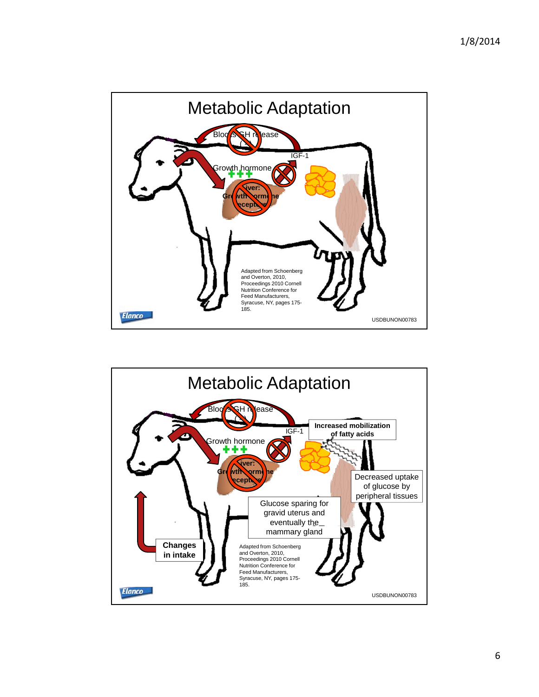

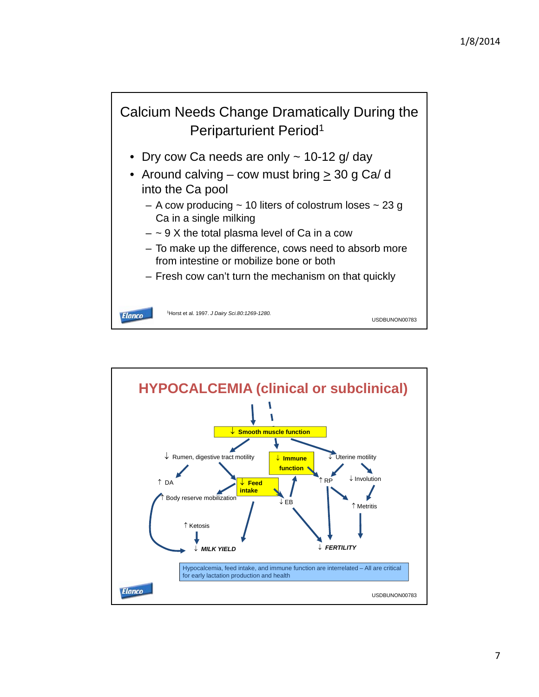

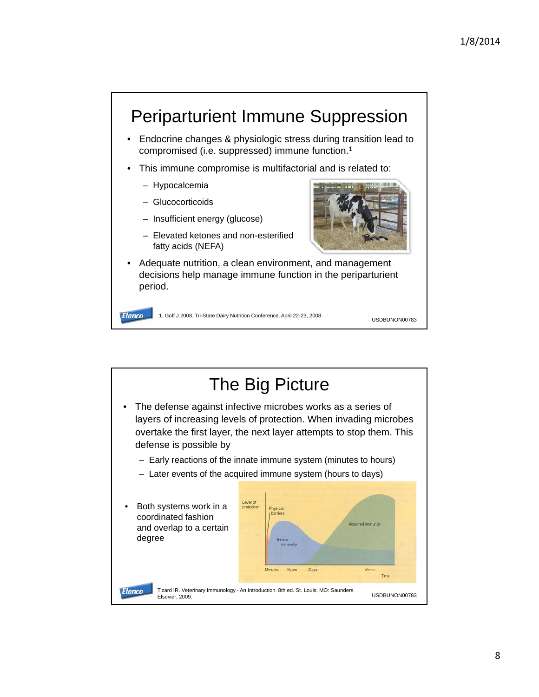

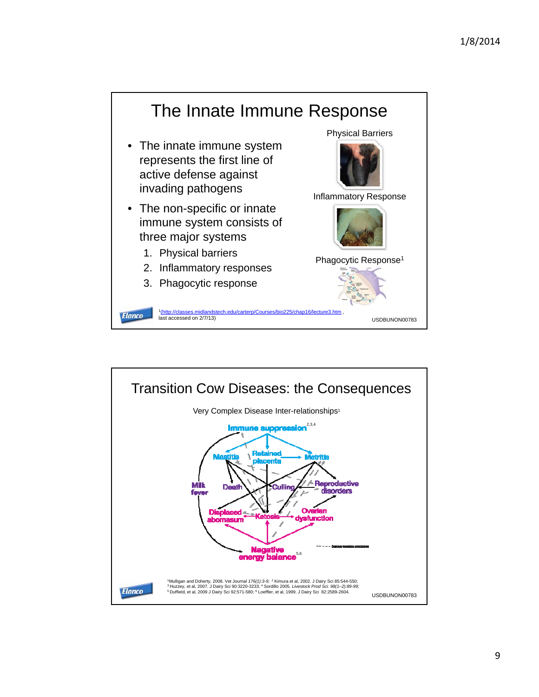

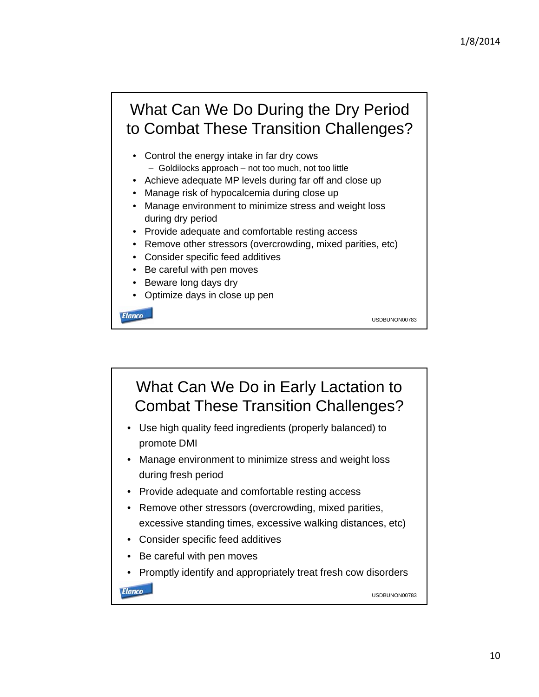USDBUNON00783

## What Can We Do During the Dry Period to Combat These Transition Challenges?

- Control the energy intake in far dry cows  $-$  Goldilocks approach – not too much, not too little
- Achieve adequate MP levels during far off and close up
- Manage risk of hypocalcemia during close up
- Manage environment to minimize stress and weight loss during dry period
- Provide adequate and comfortable resting access
- Remove other stressors (overcrowding, mixed parities, etc)
- Consider specific feed additives
- Be careful with pen moves
- Beware long days dry
- Optimize days in close up pen

**Elanco** 

What Can We Do in Early Lactation to Combat These Transition Challenges? • Use high quality feed ingredients (properly balanced) to promote DMI • Manage environment to minimize stress and weight loss during fresh period • Provide adequate and comfortable resting access • Remove other stressors (overcrowding, mixed parities, excessive standing times, excessive walking distances, etc) excessive standing times, excessive walking distances, • Consider specific feed additives • Be careful with pen moves • Promptly identify and appropriately treat fresh cow disorders**Elanco** USDBUNON00783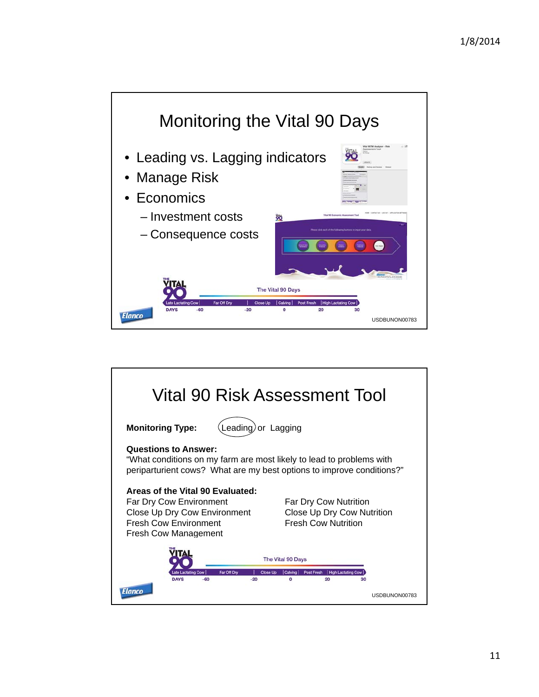

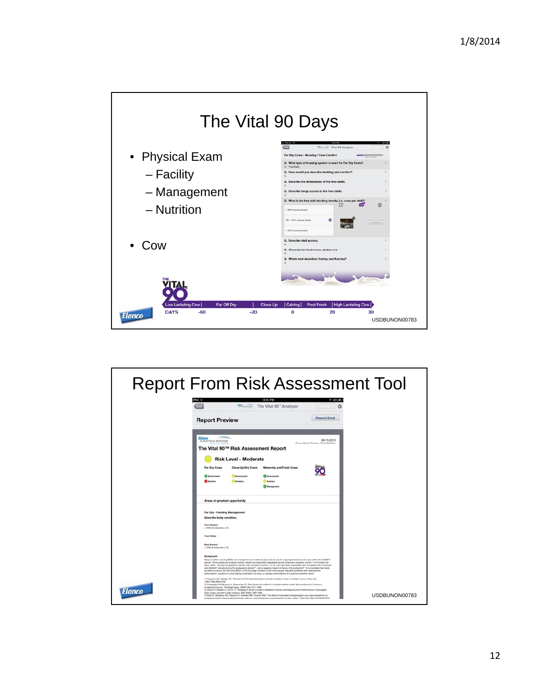

|        | <b>Report From Risk Assessment Tool</b>                                                                                                                                                                                                                                                                                                                                                                                                                                                                                                                                                                                                                                                                                                                                                                                                                                                                                                                                                                                                                                                                                                                                                                                                                                                                                                                                                                                                                                                                                                                                                                                                |               |
|--------|----------------------------------------------------------------------------------------------------------------------------------------------------------------------------------------------------------------------------------------------------------------------------------------------------------------------------------------------------------------------------------------------------------------------------------------------------------------------------------------------------------------------------------------------------------------------------------------------------------------------------------------------------------------------------------------------------------------------------------------------------------------------------------------------------------------------------------------------------------------------------------------------------------------------------------------------------------------------------------------------------------------------------------------------------------------------------------------------------------------------------------------------------------------------------------------------------------------------------------------------------------------------------------------------------------------------------------------------------------------------------------------------------------------------------------------------------------------------------------------------------------------------------------------------------------------------------------------------------------------------------------------|---------------|
|        | 12:01 PM<br><b>4 40% RD</b><br><b>Transmiss</b> The Vital 90" Analyzer<br>a<br><b>Resend Email</b><br><b>Report Preview</b>                                                                                                                                                                                                                                                                                                                                                                                                                                                                                                                                                                                                                                                                                                                                                                                                                                                                                                                                                                                                                                                                                                                                                                                                                                                                                                                                                                                                                                                                                                            |               |
|        | Elanco<br>GB-15-2013<br><b>KNOWLEDGE</b><br>Consultant: Darren, Text McGoo<br>The Vital 90™ Risk Assessment Report<br><b>Risk Level - Moderate</b><br>Far Dry Cows<br>Close Up Dry Cows<br>Maternity and Fresh Cows<br>Employment<br><b>Multi-Hillery</b>                                                                                                                                                                                                                                                                                                                                                                                                                                                                                                                                                                                                                                                                                                                                                                                                                                                                                                                                                                                                                                                                                                                                                                                                                                                                                                                                                                              |               |
|        | Areas of greatest opportunity<br>Far Dry - Feeding Management<br>Describe body condition.<br><b>Your Answer</b><br>$>25\%$ of coves are $>4.0$<br><b>Your Notes:</b><br><b>Best Answer</b> .<br>$= 10\%$ of cows are $> 4.0$                                                                                                                                                                                                                                                                                                                                                                                                                                                                                                                                                                                                                                                                                                                                                                                                                                                                                                                                                                                                                                                                                                                                                                                                                                                                                                                                                                                                           |               |
| Elanco | Background:<br>Body condition scoring (BCS) is an inexpensive and relatively easy tool to use for ongoing assessment of cows within the VitaBO™<br>period. Once people are properly trained, results are reasonably repeatable across observers using the current 1 to 5 system for<br>dairy cattle". During the preparturn pariod, high condition scores (> 3.5 or 4.0) have been associated with increased risk of dystocial<br>and stillbirth', ketcols during the postparturn period',", and a regative impact on future milk production". It is inevitable that herds<br>are likely to have a few fat cows (BCS >3.75) but large rurribers of fat cows usually indicates problems with reproductive<br>performance, resulting in cows staying in lactation too long, or perhaps are exidence of a previous abortion storm.<br>1. Ferguson JD, Galligan DT, Thomsen N. Principal description of body condition score in Holstein cows. J Dairy Sci.<br>1984 7789 2695 2703<br>2. Chassagne M. Barresin J. Chacomac JP. Risk factors for stilbirth in Holzlain hellers under field conditions in France: a<br>prospective survey. Theriogenstopy. 1999;51dll;1477-1488.<br>3. Gillund P. Reksen O. Gr. Nr YT, Karberg K. Body Condition Related to Ketosis and Reproductive Performance in Norwegian<br>Dairy Cows, Journal of dairy science, 2001; 848); 1390-1398.<br>4. Rule E, Berghaus RD, Rapricki P, Godden SM, Overton MW. The effect of injectable butaphosphen and cyanocobalarvin on<br>postparture serum bela-hydroxybutyrate, calcium, and phosphonus concentrations in dairy cattle, J Dairy Bci. Mar 2010;63(3):978- | USDBUNON00783 |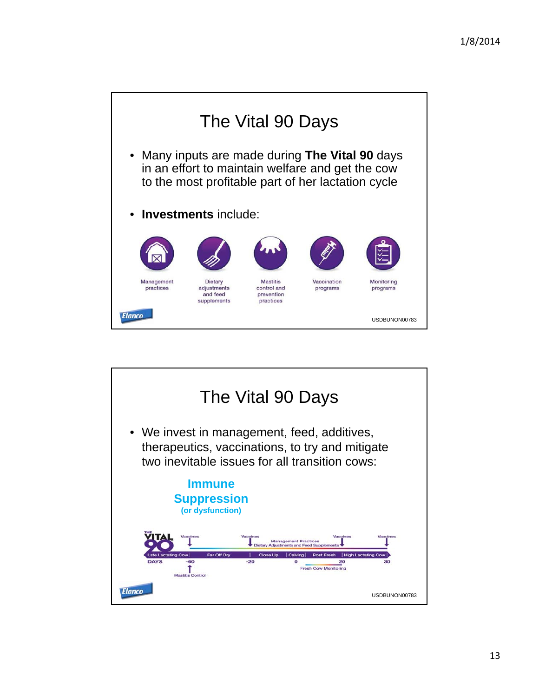

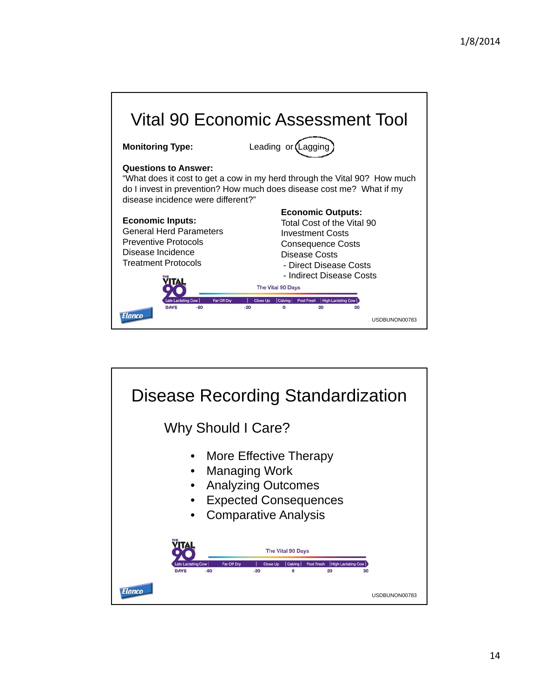

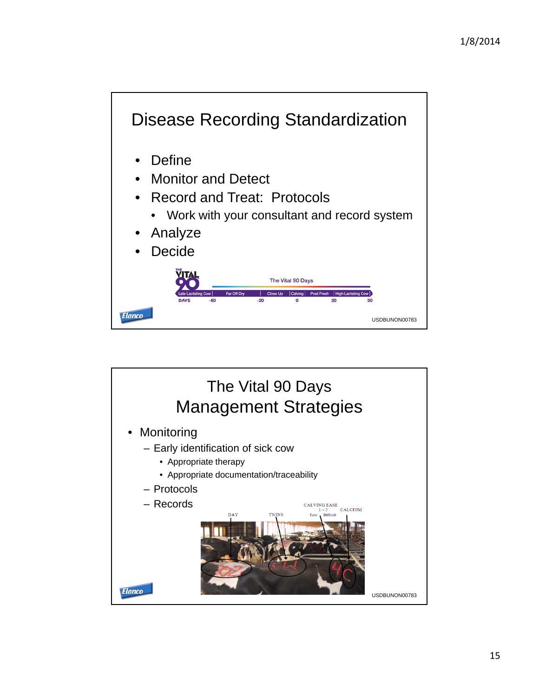

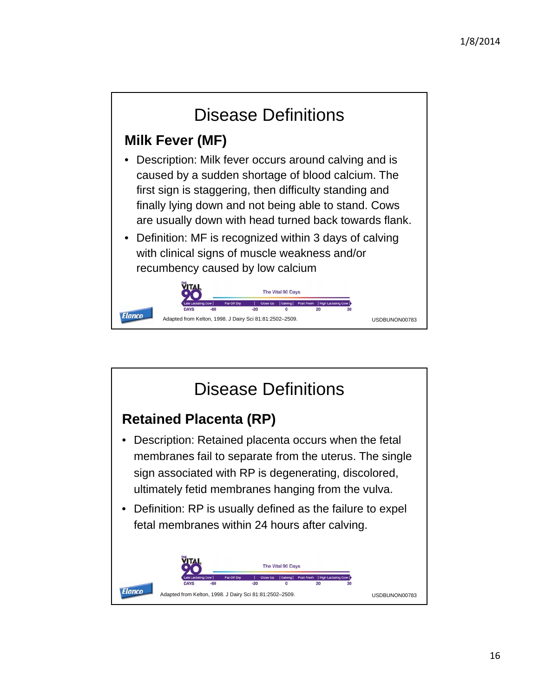

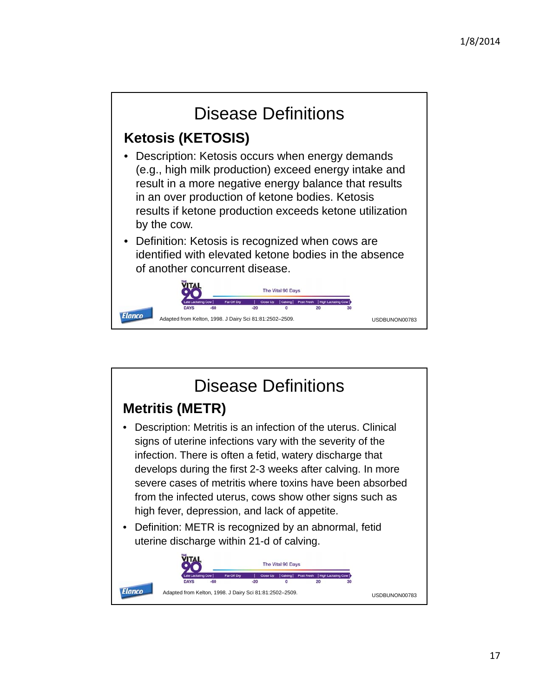

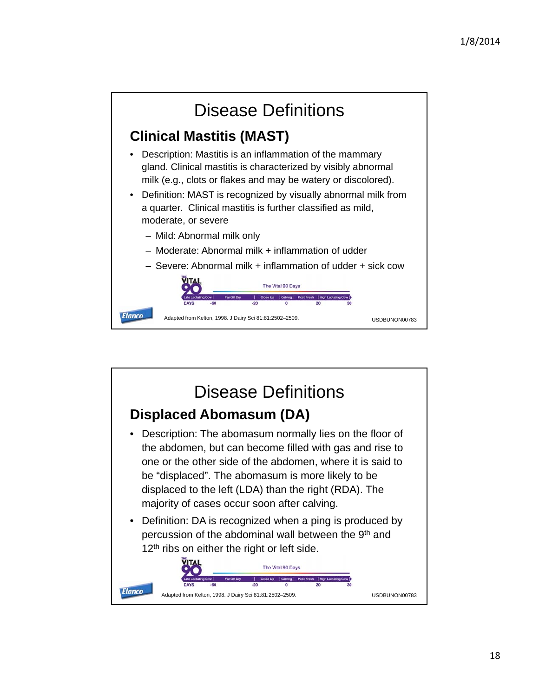

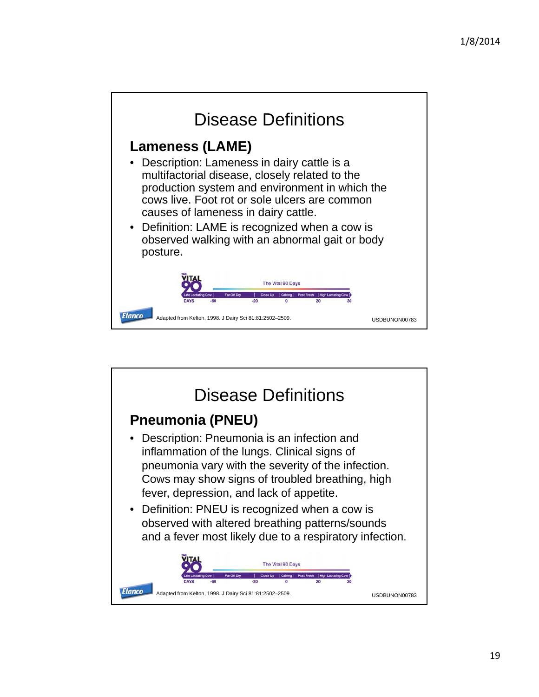

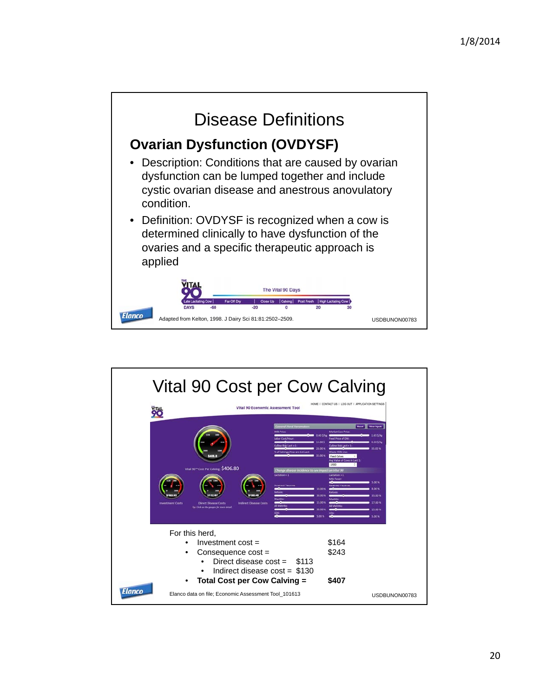

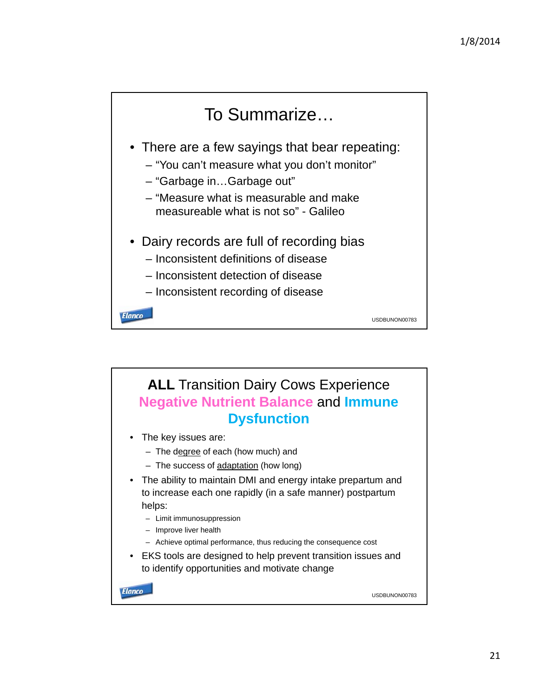